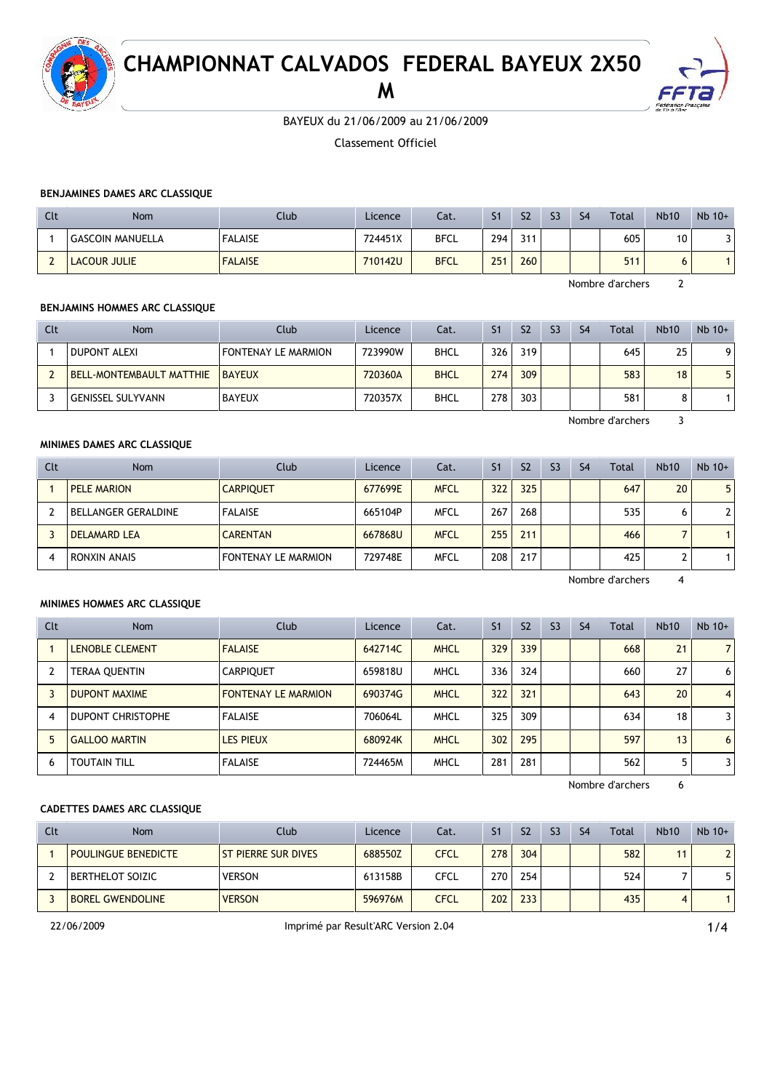

# **CHAMPIONNAT CALVADOS FEDERAL BAYEUX 2X50**

**M**



BAYEUX du 21/06/2009 au 21/06/2009

Classement Officiel

## **BENJAMINES DAMES ARC CLASSIQUE**

| Clt | Nom                     | Club           | Licence | Cat.        | S <sub>1</sub> | S <sub>2</sub> | S <sub>3</sub> | S <sub>4</sub> | <b>Total</b> | <b>Nb10</b> | $Nb$ 10+ |
|-----|-------------------------|----------------|---------|-------------|----------------|----------------|----------------|----------------|--------------|-------------|----------|
|     | <b>GASCOIN MANUELLA</b> | <b>FALAISE</b> | 724451X | <b>BFCL</b> | 294            | 311            |                |                | 605          | 10          |          |
|     | <b>LACOUR JULIE</b>     | <b>FALAISE</b> | 710142U | <b>BFCL</b> | 251            | 260            |                |                | 511          | O           |          |

Nombre d'archers 2

## **BENJAMINS HOMMES ARC CLASSIQUE**

| Clt | <b>Nom</b>                      | Club                       | Licence | Cat.        | S <sub>1</sub> | S <sub>2</sub> | S <sub>3</sub> | S <sub>4</sub> | Total | <b>Nb10</b> | $Nb$ 10+ |
|-----|---------------------------------|----------------------------|---------|-------------|----------------|----------------|----------------|----------------|-------|-------------|----------|
|     | <b>DUPONT ALEXI</b>             | <b>FONTENAY LE MARMION</b> | 723990W | BHCL        | 326            | 319            |                |                | 645   | 25          | 9        |
|     | <b>BELL-MONTEMBAULT MATTHIE</b> | <b>BAYEUX</b>              | 720360A | <b>BHCL</b> | 274            | 309            |                |                | 583   | 18          | 5        |
|     | <b>GENISSEL SULYVANN</b>        | <b>BAYEUX</b>              | 720357X | <b>BHCL</b> | 278            | 303            |                |                | 581   |             |          |

Nombre d'archers 3

#### **MINIMES DAMES ARC CLASSIQUE**

| Clt | <b>Nom</b>                 | Club                       | Licence | Cat.        | S <sub>1</sub> | S <sub>2</sub> | S <sub>3</sub> | S <sub>4</sub> | Total | <b>Nb10</b> | $Nb$ 10+       |
|-----|----------------------------|----------------------------|---------|-------------|----------------|----------------|----------------|----------------|-------|-------------|----------------|
|     | PELE MARION                | <b>CARPIOUET</b>           | 677699E | <b>MFCL</b> | 322            | 325            |                |                | 647   | 20          | 5 <sub>1</sub> |
|     | <b>BELLANGER GERALDINE</b> | <b>FALAISE</b>             | 665104P | MFCL        | 267            | 268            |                |                | 535   | 6           | $\overline{2}$ |
|     | <b>DELAMARD LEA</b>        | <b>CARENTAN</b>            | 667868U | <b>MFCL</b> | 255            | 211            |                |                | 466   |             |                |
| 4   | RONXIN ANAIS               | <b>FONTENAY LE MARMION</b> | 729748E | <b>MFCL</b> | 208            | 217            |                |                | 425   |             |                |

Nombre d'archers 4

## **MINIMES HOMMES ARC CLASSIQUE**

| Clt | <b>Nom</b>               | Club                       | Licence | Cat.        | S <sub>1</sub> | S <sub>2</sub> | S <sub>3</sub> | S <sub>4</sub> | Total | <b>Nb10</b> | $Nb$ 10+       |
|-----|--------------------------|----------------------------|---------|-------------|----------------|----------------|----------------|----------------|-------|-------------|----------------|
|     | <b>LENOBLE CLEMENT</b>   | <b>FALAISE</b>             | 642714C | <b>MHCL</b> | 329            | 339            |                |                | 668   | 21          | $\overline{7}$ |
|     | TERAA QUENTIN            | <b>CARPIQUET</b>           | 659818U | <b>MHCL</b> | 336            | 324            |                |                | 660   | 27          | 6              |
|     | <b>DUPONT MAXIME</b>     | <b>FONTENAY LE MARMION</b> | 690374G | <b>MHCL</b> | 322            | 321            |                |                | 643   | 20          | $\overline{4}$ |
| 4   | <b>DUPONT CHRISTOPHE</b> | <b>FALAISE</b>             | 706064L | <b>MHCL</b> | 325            | 309            |                |                | 634   | 18          | 3              |
| 5   | <b>GALLOO MARTIN</b>     | LES PIEUX                  | 680924K | <b>MHCL</b> | 302            | 295            |                |                | 597   | 13          | 6              |
| 6   | <b>TOUTAIN TILL</b>      | <b>FALAISE</b>             | 724465M | <b>MHCL</b> | 281            | 281            |                |                | 562   | 5           | 3              |

Nombre d'archers 6

## **CADETTES DAMES ARC CLASSIQUE**

| Clt | Nom                        | Club                | Licence | Cat.        | S <sub>1</sub> | S <sub>2</sub> | S <sub>3</sub> | S <sub>4</sub> | Total | <b>Nb10</b> | $Nb$ 10+ |
|-----|----------------------------|---------------------|---------|-------------|----------------|----------------|----------------|----------------|-------|-------------|----------|
|     | <b>POULINGUE BENEDICTE</b> | ST PIERRE SUR DIVES | 688550Z | <b>CFCL</b> | 278            | 304            |                |                | 582   | 11          |          |
|     | <b>BERTHELOT SOIZIC</b>    | <b>VERSON</b>       | 613158B | <b>CFCL</b> | 270            | 254            |                |                | 524   |             |          |
|     | <b>BOREL GWENDOLINE</b>    | <b>VERSON</b>       | 596976M | <b>CFCL</b> | 202            | 233            |                |                | 435   | 4           |          |

22/06/2009 Imprimé par Result'ARC Version 2.04 1/4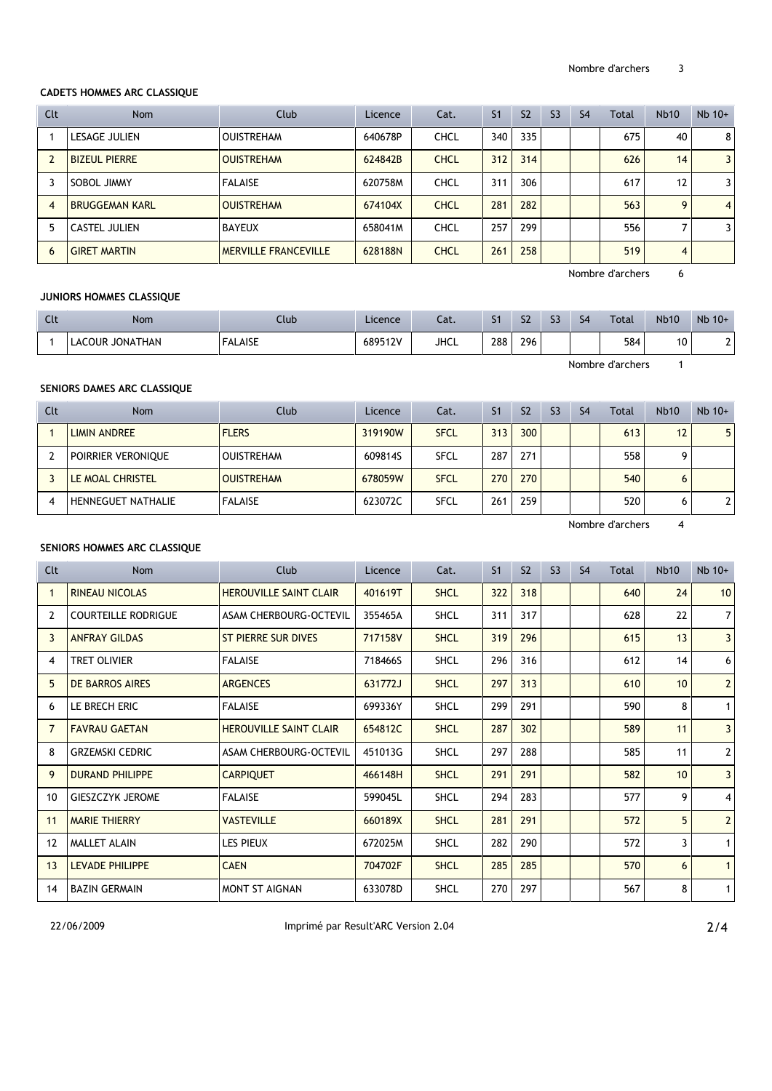## **CADETS HOMMES ARC CLASSIQUE**

| Clt            | Nom                   | Club                        | Licence | Cat.        | S <sub>1</sub> | S <sub>2</sub> | S <sub>3</sub> | S <sub>4</sub> | <b>Total</b>     | <b>Nb10</b> | $Nb$ 10+       |
|----------------|-----------------------|-----------------------------|---------|-------------|----------------|----------------|----------------|----------------|------------------|-------------|----------------|
|                | LESAGE JULIEN         | <b>OUISTREHAM</b>           | 640678P | CHCL        | 340            | 335            |                |                | 675              | 40          | 8              |
|                | <b>BIZEUL PIERRE</b>  | <b>OUISTREHAM</b>           | 624842B | <b>CHCL</b> | 312            | 314            |                |                | 626              | 14          | 3              |
|                | SOBOL JIMMY           | <b>FALAISE</b>              | 620758M | <b>CHCL</b> | 311            | 306            |                |                | 617              | 12          | 3              |
| $\overline{4}$ | <b>BRUGGEMAN KARL</b> | <b>OUISTREHAM</b>           | 674104X | <b>CHCL</b> | 281            | 282            |                |                | 563              | 9           | $\overline{4}$ |
| 5.             | <b>CASTEL JULIEN</b>  | <b>BAYEUX</b>               | 658041M | CHCL        | 257            | 299            |                |                | 556              |             | 3              |
| 6              | <b>GIRET MARTIN</b>   | <b>MERVILLE FRANCEVILLE</b> | 628188N | <b>CHCL</b> | 261            | 258            |                |                | 519              | 4           |                |
|                |                       |                             |         |             |                |                |                |                | Nombre d'archers | 6           |                |

## **JUNIORS HOMMES CLASSIQUE**

| Clt              | Nom             | Club           | Licence <sup>®</sup> | Cat.        | S1  | S <sub>2</sub> | S3 | S <sub>4</sub> | <b>Total</b> | <b>Nb10</b> | $Nb$ 10+ |
|------------------|-----------------|----------------|----------------------|-------------|-----|----------------|----|----------------|--------------|-------------|----------|
|                  | LACOUR JONATHAN | <b>FALAISE</b> | 689512V              | <b>JHCL</b> | 288 | 296            |    |                | 584          | 10          |          |
| Nombre d'archers |                 |                |                      |             |     |                |    |                |              |             |          |

#### **SENIORS DAMES ARC CLASSIQUE**

| Clt | <b>Nom</b>                | Club              | Licence | Cat.        | S <sub>1</sub> | S <sub>2</sub> | S <sub>3</sub> | S <sub>4</sub> | Total | <b>Nb10</b> | $Nb$ 10+ |
|-----|---------------------------|-------------------|---------|-------------|----------------|----------------|----------------|----------------|-------|-------------|----------|
|     | <b>LIMIN ANDREE</b>       | <b>FLERS</b>      | 319190W | <b>SFCL</b> | 313            | 300            |                |                | 613   | 12          | 5        |
|     | POIRRIER VERONIQUE        | <b>OUISTREHAM</b> | 609814S | <b>SFCL</b> | 287            | 271            |                |                | 558   |             |          |
|     | LE MOAL CHRISTEL          | <b>OUISTREHAM</b> | 678059W | <b>SFCL</b> | 270            | 270            |                |                | 540   | 6           |          |
|     | <b>HENNEGUET NATHALIE</b> | <b>FALAISE</b>    | 623072C | <b>SFCL</b> | 261            | 259            |                |                | 520   | o           |          |

Nombre d'archers 4

## **SENIORS HOMMES ARC CLASSIQUE**

| Clt               | <b>Nom</b>                 | Club                          | Licence | Cat.        | S <sub>1</sub> | S <sub>2</sub> | S <sub>3</sub> | S <sub>4</sub> | Total | <b>Nb10</b>     | $Nb$ 10+       |
|-------------------|----------------------------|-------------------------------|---------|-------------|----------------|----------------|----------------|----------------|-------|-----------------|----------------|
|                   | <b>RINEAU NICOLAS</b>      | <b>HEROUVILLE SAINT CLAIR</b> | 401619T | <b>SHCL</b> | 322            | 318            |                |                | 640   | 24              | 10             |
| 2                 | <b>COURTEILLE RODRIGUE</b> | ASAM CHERBOURG-OCTEVIL        | 355465A | <b>SHCL</b> | 311            | 317            |                |                | 628   | 22              | $\overline{7}$ |
| 3                 | <b>ANFRAY GILDAS</b>       | ST PIERRE SUR DIVES           | 717158V | <b>SHCL</b> | 319            | 296            |                |                | 615   | 13              | $\overline{3}$ |
| 4                 | <b>TRET OLIVIER</b>        | <b>FALAISE</b>                | 718466S | <b>SHCL</b> | 296            | 316            |                |                | 612   | 14              | 6              |
| 5.                | DE BARROS AIRES            | <b>ARGENCES</b>               | 631772J | <b>SHCL</b> | 297            | 313            |                |                | 610   | 10 <sup>1</sup> | $\overline{2}$ |
| 6.                | LE BRECH ERIC              | <b>FALAISE</b>                | 699336Y | <b>SHCL</b> | 299            | 291            |                |                | 590   | 8               | $\mathbf{1}$   |
| $\overline{7}$    | <b>FAVRAU GAETAN</b>       | <b>HEROUVILLE SAINT CLAIR</b> | 654812C | <b>SHCL</b> | 287            | 302            |                |                | 589   | 11              | $\mathbf{3}$   |
| 8                 | <b>GRZEMSKI CEDRIC</b>     | <b>ASAM CHERBOURG-OCTEVIL</b> | 451013G | <b>SHCL</b> | 297            | 288            |                |                | 585   | 11              | $\mathbf{2}$   |
| 9                 | <b>DURAND PHILIPPE</b>     | <b>CARPIQUET</b>              | 466148H | <b>SHCL</b> | 291            | 291            |                |                | 582   | 10              | $\mathbf{3}$   |
| 10                | <b>GIESZCZYK JEROME</b>    | <b>FALAISE</b>                | 599045L | <b>SHCL</b> | 294            | 283            |                |                | 577   | 9               | 4              |
| 11                | <b>MARIE THIERRY</b>       | <b>VASTEVILLE</b>             | 660189X | <b>SHCL</b> | 281            | 291            |                |                | 572   | 5               | $\overline{2}$ |
| $12 \overline{ }$ | <b>MALLET ALAIN</b>        | <b>LES PIEUX</b>              | 672025M | <b>SHCL</b> | 282            | 290            |                |                | 572   | 3               | $\mathbf{1}$   |
| 13                | LEVADE PHILIPPE            | <b>CAEN</b>                   | 704702F | <b>SHCL</b> | 285            | 285            |                |                | 570   | 6               | $\mathbf{1}$   |
| 14                | <b>BAZIN GERMAIN</b>       | MONT ST AIGNAN                | 633078D | <b>SHCL</b> | 270            | 297            |                |                | 567   | 8               | $\mathbf{1}$   |

22/06/2009 Imprimé par Result'ARC Version 2.04 2/4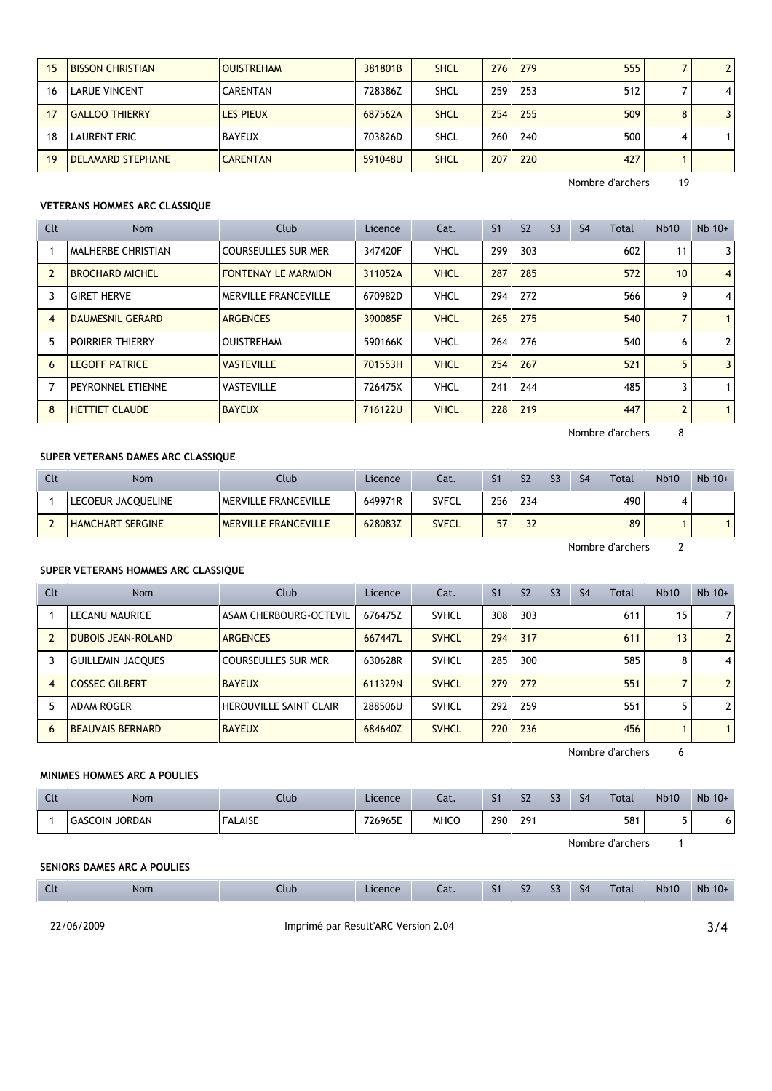|    | <b>BISSON CHRISTIAN</b>  | <b>OUISTREHAM</b> | 381801B | <b>SHCL</b> | 276 | 279 |  | 555 |   |   |
|----|--------------------------|-------------------|---------|-------------|-----|-----|--|-----|---|---|
| 16 | <b>LARUE VINCENT</b>     | <b>CARENTAN</b>   | 728386Z | <b>SHCL</b> | 259 | 253 |  | 512 |   | 4 |
|    | <b>GALLOO THIERRY</b>    | <b>LES PIEUX</b>  | 687562A | <b>SHCL</b> | 254 | 255 |  | 509 | 8 | 3 |
| 18 | <b>LAURENT ERIC</b>      | <b>BAYEUX</b>     | 703826D | <b>SHCL</b> | 260 | 240 |  | 500 | 4 |   |
| 19 | <b>DELAMARD STEPHANE</b> | <b>CARENTAN</b>   | 591048U | <b>SHCL</b> | 207 | 220 |  | 427 |   |   |

Nombre d'archers 19

## **VETERANS HOMMES ARC CLASSIQUE**

| Clt | <b>Nom</b>              | Club                       | Licence | Cat.        | S <sub>1</sub> | S <sub>2</sub> | S <sub>3</sub> | S <sub>4</sub> | Total | Nb10           | $Nb$ 10+       |
|-----|-------------------------|----------------------------|---------|-------------|----------------|----------------|----------------|----------------|-------|----------------|----------------|
|     | MALHERBE CHRISTIAN      | COURSEULLES SUR MER        | 347420F | <b>VHCL</b> | 299            | 303            |                |                | 602   | 11             | 3              |
|     | <b>BROCHARD MICHEL</b>  | <b>FONTENAY LE MARMION</b> | 311052A | <b>VHCL</b> | 287            | 285            |                |                | 572   | 10             | $\overline{4}$ |
| 3   | <b>GIRET HERVE</b>      | MERVILLE FRANCEVILLE       | 670982D | <b>VHCL</b> | 294            | 272            |                |                | 566   | 9              | $\overline{4}$ |
| 4   | <b>DAUMESNIL GERARD</b> | <b>ARGENCES</b>            | 390085F | <b>VHCL</b> | 265            | 275            |                |                | 540   | $\overline{ }$ | $\mathbf{1}$   |
| 5   | <b>POIRRIER THIERRY</b> | <b>OUISTREHAM</b>          | 590166K | <b>VHCL</b> | 264            | 276            |                |                | 540   | 6              | $\mathbf{2}$   |
| 6   | <b>LEGOFF PATRICE</b>   | <b>VASTEVILLE</b>          | 701553H | <b>VHCL</b> | 254            | 267            |                |                | 521   | 5              | 3              |
|     | PEYRONNEL ETIENNE       | <b>VASTEVILLE</b>          | 726475X | <b>VHCL</b> | 241            | 244            |                |                | 485   | 3              |                |
| 8   | <b>HETTIET CLAUDE</b>   | <b>BAYEUX</b>              | 716122U | <b>VHCL</b> | 228            | 219            |                |                | 447   | $\overline{2}$ | $\mathbf{1}$   |

Nombre d'archers 8

#### **SUPER VETERANS DAMES ARC CLASSIQUE**

| Clt | Nom                     | Club                        | Licence | Cat.         | ۲1               | S <sub>2</sub> | S <sub>3</sub> | S <sub>4</sub> | <b>Total</b> | <b>Nb10</b> | $Nb$ 10+ |
|-----|-------------------------|-----------------------------|---------|--------------|------------------|----------------|----------------|----------------|--------------|-------------|----------|
|     | LECOEUR JACQUELINE      | MERVILLE FRANCEVILLE        | 649971R | SVFCL        | 256 <sub>1</sub> | 234            |                |                | 490          | ≖           |          |
|     | <b>HAMCHART SERGINE</b> | <b>MERVILLE FRANCEVILLE</b> | 628083Z | <b>SVFCL</b> | 57               | 32             |                |                | 89           |             |          |

Nombre d'archers 2

#### **SUPER VETERANS HOMMES ARC CLASSIQUE**

| Clt | Nom                       | Club                          | Licence | Cat.         | S <sub>1</sub> | S <sub>2</sub> | S <sub>3</sub> | S <sub>4</sub> | Total | <b>Nb10</b> | $Nb$ 10+       |
|-----|---------------------------|-------------------------------|---------|--------------|----------------|----------------|----------------|----------------|-------|-------------|----------------|
|     | LECANU MAURICE            | ASAM CHERBOURG-OCTEVIL        | 676475Z | <b>SVHCL</b> | 308            | 303            |                |                | 611   | 15          | $\overline{7}$ |
|     | <b>DUBOIS JEAN-ROLAND</b> | <b>ARGENCES</b>               | 667447L | <b>SVHCL</b> | 294            | 317            |                |                | 611   | 13          | $\overline{2}$ |
|     | <b>GUILLEMIN JACQUES</b>  | <b>COURSEULLES SUR MER</b>    | 630628R | <b>SVHCL</b> | 285            | 300            |                |                | 585   | 8           | $\overline{4}$ |
| 4   | <b>COSSEC GILBERT</b>     | <b>BAYEUX</b>                 | 611329N | <b>SVHCL</b> | 279            | 272            |                |                | 551   |             | $\overline{2}$ |
|     | <b>ADAM ROGER</b>         | <b>HEROUVILLE SAINT CLAIR</b> | 288506U | <b>SVHCL</b> | 292            | 259            |                |                | 551   |             | $\overline{2}$ |
| 6   | <b>BEAUVAIS BERNARD</b>   | <b>BAYEUX</b>                 | 684640Z | <b>SVHCL</b> | 220            | 236            |                |                | 456   |             |                |

Nombre d'archers 6

## **MINIMES HOMMES ARC A POULIES**

| $\mathcal{L}$<br><b>LIL</b> | Nom               | Llub           | Licence | Cat. | C <sub>4</sub> | S <sub>2</sub> | $\sim$<br>-- | S <sub>4</sub> | Total | <b>Nb10</b> | $Nb$ 10+ |
|-----------------------------|-------------------|----------------|---------|------|----------------|----------------|--------------|----------------|-------|-------------|----------|
|                             | JORDAN<br>GASCOIN | <b>FALAISE</b> | 726965E | MHCC | 290            | 291<br>271     |              |                | 581   |             |          |

Nombre d'archers 1

#### **SENIORS DAMES ARC A POULIES**

| Clt                                               | Nom | Club | Licence | Cat. | S <sub>1</sub> | S <sub>2</sub> | S <sub>3</sub> | S <sub>4</sub> | Total | <b>Nb10</b> | $Nb$ 10+ |
|---------------------------------------------------|-----|------|---------|------|----------------|----------------|----------------|----------------|-------|-------------|----------|
| 22/06/2009<br>Imprimé par Result'ARC Version 2.04 |     |      |         |      |                |                |                |                |       |             | 3/4      |